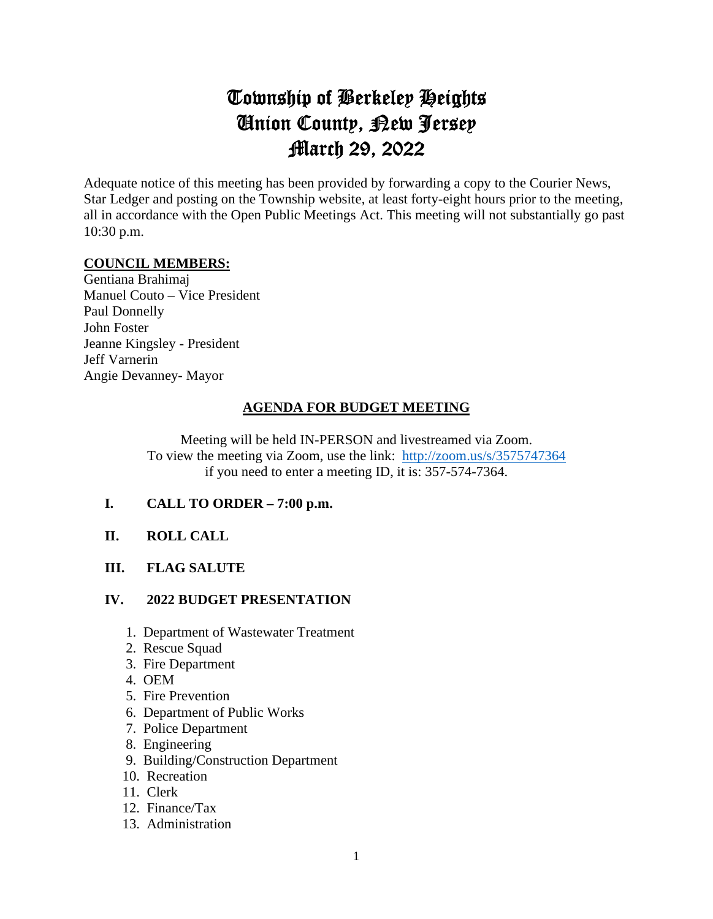# Township of Berkeley Heights Union County, New Jersey March 29, 2022

Adequate notice of this meeting has been provided by forwarding a copy to the Courier News, Star Ledger and posting on the Township website, at least forty-eight hours prior to the meeting, all in accordance with the Open Public Meetings Act. This meeting will not substantially go past 10:30 p.m.

#### **COUNCIL MEMBERS:**

Gentiana Brahimaj Manuel Couto – Vice President Paul Donnelly John Foster Jeanne Kingsley - President Jeff Varnerin Angie Devanney- Mayor

# **AGENDA FOR BUDGET MEETING**

Meeting will be held IN-PERSON and livestreamed via Zoom. To view the meeting via Zoom, use the link: <http://zoom.us/s/3575747364> if you need to enter a meeting ID, it is: 357-574-7364.

**I. CALL TO ORDER – 7:00 p.m.** 

## **II. ROLL CALL**

## **III. FLAG SALUTE**

#### **IV. 2022 BUDGET PRESENTATION**

- 1. Department of Wastewater Treatment
- 2. Rescue Squad
- 3. Fire Department
- 4. OEM
- 5. Fire Prevention
- 6. Department of Public Works
- 7. Police Department
- 8. Engineering
- 9. Building/Construction Department
- 10. Recreation
- 11. Clerk
- 12. Finance/Tax
- 13. Administration